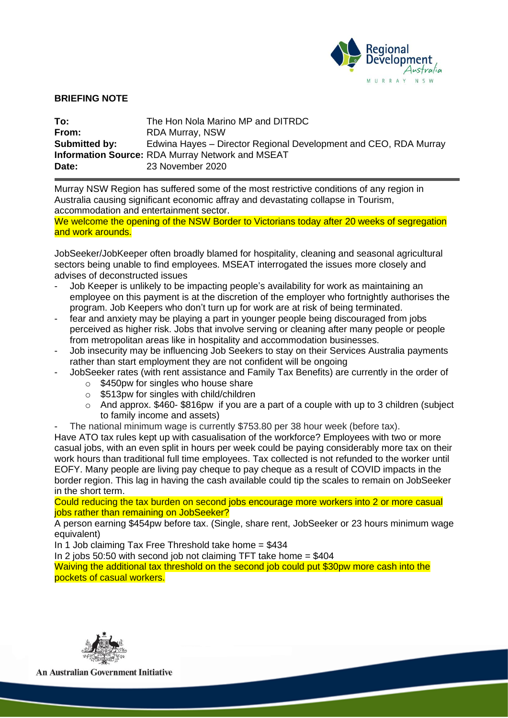

## **BRIEFING NOTE**

| To:           | The Hon Nola Marino MP and DITRDC                                |
|---------------|------------------------------------------------------------------|
| From:         | <b>RDA Murray, NSW</b>                                           |
| Submitted by: | Edwina Hayes – Director Regional Development and CEO, RDA Murray |
|               | <b>Information Source: RDA Murray Network and MSEAT</b>          |
| Date:         | 23 November 2020                                                 |

Murray NSW Region has suffered some of the most restrictive conditions of any region in Australia causing significant economic affray and devastating collapse in Tourism, accommodation and entertainment sector.

We welcome the opening of the NSW Border to Victorians today after 20 weeks of segregation and work arounds.

JobSeeker/JobKeeper often broadly blamed for hospitality, cleaning and seasonal agricultural sectors being unable to find employees. MSEAT interrogated the issues more closely and advises of deconstructed issues

- Job Keeper is unlikely to be impacting people's availability for work as maintaining an employee on this payment is at the discretion of the employer who fortnightly authorises the program. Job Keepers who don't turn up for work are at risk of being terminated.
- fear and anxiety may be playing a part in younger people being discouraged from jobs perceived as higher risk. Jobs that involve serving or cleaning after many people or people from metropolitan areas like in hospitality and accommodation businesses.
- Job insecurity may be influencing Job Seekers to stay on their Services Australia payments rather than start employment they are not confident will be ongoing
	- JobSeeker rates (with rent assistance and Family Tax Benefits) are currently in the order of
		- o \$450pw for singles who house share
		- o \$513pw for singles with child/children
		- $\circ$  And approx. \$460-\$816 pw if you are a part of a couple with up to 3 children (subject to family income and assets)
- The national minimum wage is currently \$753.80 per 38 hour week (before tax).

Have ATO tax rules kept up with casualisation of the workforce? Employees with two or more casual jobs, with an even split in hours per week could be paying considerably more tax on their work hours than traditional full time employees. Tax collected is not refunded to the worker until EOFY. Many people are living pay cheque to pay cheque as a result of COVID impacts in the border region. This lag in having the cash available could tip the scales to remain on JobSeeker in the short term.

Could reducing the tax burden on second jobs encourage more workers into 2 or more casual jobs rather than remaining on JobSeeker?

A person earning \$454pw before tax. (Single, share rent, JobSeeker or 23 hours minimum wage equivalent)

In 1 Job claiming Tax Free Threshold take home = \$434

In 2 jobs 50:50 with second job not claiming TFT take home  $= $404$ 

Waiving the additional tax threshold on the second job could put \$30pw more cash into the pockets of casual workers.



**An Australian Government Initiative**